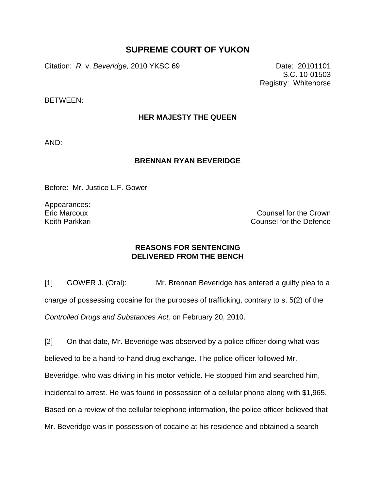## **SUPREME COURT OF YUKON**

Citation: *R.* v. *Beveridge,* 2010 YKSC 69 Date: 20101101

S.C. 10-01503 Registry: Whitehorse

BETWEEN:

## **HER MAJESTY THE QUEEN**

AND:

## **BRENNAN RYAN BEVERIDGE**

Before: Mr. Justice L.F. Gower

Appearances: Eric Marcoux Keith Parkkari

Counsel for the Crown Counsel for the Defence

## **REASONS FOR SENTENCING DELIVERED FROM THE BENCH**

[1] GOWER J. (Oral): Mr. Brennan Beveridge has entered a guilty plea to a charge of possessing cocaine for the purposes of trafficking, contrary to s. 5(2) of the *Controlled Drugs and Substances Act,* on February 20, 2010.

[2] On that date, Mr. Beveridge was observed by a police officer doing what was believed to be a hand-to-hand drug exchange. The police officer followed Mr. Beveridge, who was driving in his motor vehicle. He stopped him and searched him, incidental to arrest. He was found in possession of a cellular phone along with \$1,965. Based on a review of the cellular telephone information, the police officer believed that Mr. Beveridge was in possession of cocaine at his residence and obtained a search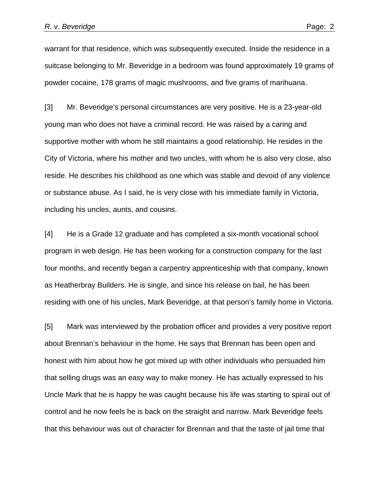warrant for that residence, which was subsequently executed. Inside the residence in a suitcase belonging to Mr. Beveridge in a bedroom was found approximately 19 grams of powder cocaine, 178 grams of magic mushrooms, and five grams of marihuana.

[3] Mr. Beveridge's personal circumstances are very positive. He is a 23-year-old young man who does not have a criminal record. He was raised by a caring and supportive mother with whom he still maintains a good relationship. He resides in the City of Victoria, where his mother and two uncles, with whom he is also very close, also reside. He describes his childhood as one which was stable and devoid of any violence or substance abuse. As I said, he is very close with his immediate family in Victoria, including his uncles, aunts, and cousins.

[4] He is a Grade 12 graduate and has completed a six-month vocational school program in web design. He has been working for a construction company for the last four months, and recently began a carpentry apprenticeship with that company, known as Heatherbray Builders. He is single, and since his release on bail, he has been residing with one of his uncles, Mark Beveridge, at that person's family home in Victoria.

[5] Mark was interviewed by the probation officer and provides a very positive report about Brennan's behaviour in the home. He says that Brennan has been open and honest with him about how he got mixed up with other individuals who persuaded him that selling drugs was an easy way to make money. He has actually expressed to his Uncle Mark that he is happy he was caught because his life was starting to spiral out of control and he now feels he is back on the straight and narrow. Mark Beveridge feels that this behaviour was out of character for Brennan and that the taste of jail time that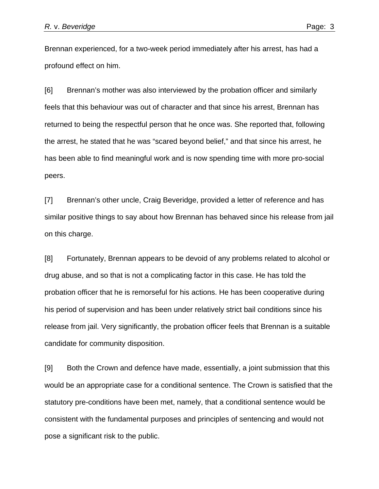Brennan experienced, for a two-week period immediately after his arrest, has had a profound effect on him.

[6] Brennan's mother was also interviewed by the probation officer and similarly feels that this behaviour was out of character and that since his arrest, Brennan has returned to being the respectful person that he once was. She reported that, following the arrest, he stated that he was "scared beyond belief," and that since his arrest, he has been able to find meaningful work and is now spending time with more pro-social peers.

[7] Brennan's other uncle, Craig Beveridge, provided a letter of reference and has similar positive things to say about how Brennan has behaved since his release from jail on this charge.

[8] Fortunately, Brennan appears to be devoid of any problems related to alcohol or drug abuse, and so that is not a complicating factor in this case. He has told the probation officer that he is remorseful for his actions. He has been cooperative during his period of supervision and has been under relatively strict bail conditions since his release from jail. Very significantly, the probation officer feels that Brennan is a suitable candidate for community disposition.

[9] Both the Crown and defence have made, essentially, a joint submission that this would be an appropriate case for a conditional sentence. The Crown is satisfied that the statutory pre-conditions have been met, namely, that a conditional sentence would be consistent with the fundamental purposes and principles of sentencing and would not pose a significant risk to the public.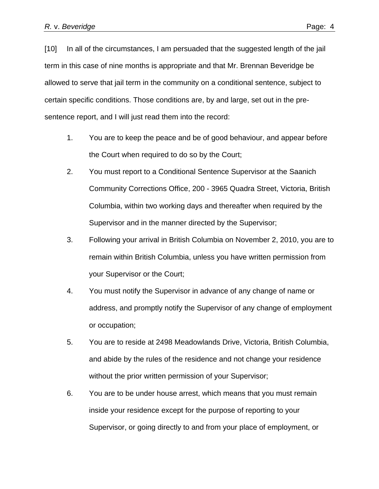[10] In all of the circumstances, I am persuaded that the suggested length of the jail term in this case of nine months is appropriate and that Mr. Brennan Beveridge be allowed to serve that jail term in the community on a conditional sentence, subject to certain specific conditions. Those conditions are, by and large, set out in the presentence report, and I will just read them into the record:

- 1. You are to keep the peace and be of good behaviour, and appear before the Court when required to do so by the Court;
- 2. You must report to a Conditional Sentence Supervisor at the Saanich Community Corrections Office, 200 - 3965 Quadra Street, Victoria, British Columbia, within two working days and thereafter when required by the Supervisor and in the manner directed by the Supervisor;
- 3. Following your arrival in British Columbia on November 2, 2010, you are to remain within British Columbia, unless you have written permission from your Supervisor or the Court;
- 4. You must notify the Supervisor in advance of any change of name or address, and promptly notify the Supervisor of any change of employment or occupation;
- 5. You are to reside at 2498 Meadowlands Drive, Victoria, British Columbia, and abide by the rules of the residence and not change your residence without the prior written permission of your Supervisor;
- 6. You are to be under house arrest, which means that you must remain inside your residence except for the purpose of reporting to your Supervisor, or going directly to and from your place of employment, or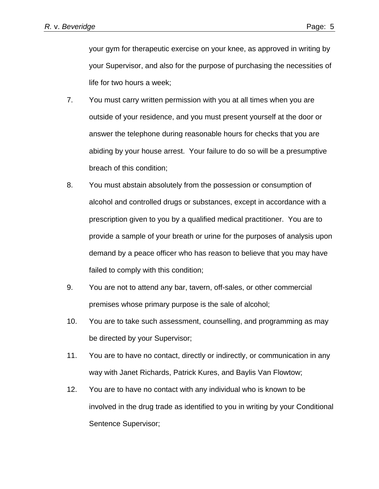your gym for therapeutic exercise on your knee, as approved in writing by your Supervisor, and also for the purpose of purchasing the necessities of life for two hours a week;

- 7. You must carry written permission with you at all times when you are outside of your residence, and you must present yourself at the door or answer the telephone during reasonable hours for checks that you are abiding by your house arrest. Your failure to do so will be a presumptive breach of this condition;
- 8. You must abstain absolutely from the possession or consumption of alcohol and controlled drugs or substances, except in accordance with a prescription given to you by a qualified medical practitioner. You are to provide a sample of your breath or urine for the purposes of analysis upon demand by a peace officer who has reason to believe that you may have failed to comply with this condition;
- 9. You are not to attend any bar, tavern, off-sales, or other commercial premises whose primary purpose is the sale of alcohol;
- 10. You are to take such assessment, counselling, and programming as may be directed by your Supervisor;
- 11. You are to have no contact, directly or indirectly, or communication in any way with Janet Richards, Patrick Kures, and Baylis Van Flowtow;
- 12. You are to have no contact with any individual who is known to be involved in the drug trade as identified to you in writing by your Conditional Sentence Supervisor;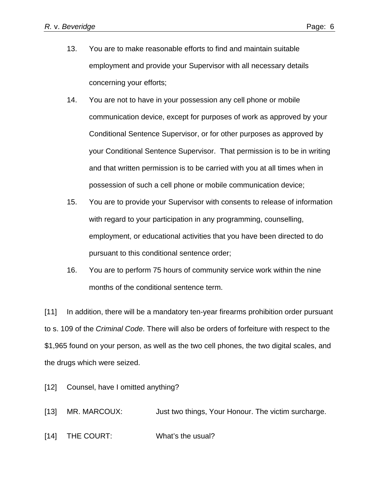- 13. You are to make reasonable efforts to find and maintain suitable employment and provide your Supervisor with all necessary details concerning your efforts;
- 14. You are not to have in your possession any cell phone or mobile communication device, except for purposes of work as approved by your Conditional Sentence Supervisor, or for other purposes as approved by your Conditional Sentence Supervisor. That permission is to be in writing and that written permission is to be carried with you at all times when in possession of such a cell phone or mobile communication device;
- 15. You are to provide your Supervisor with consents to release of information with regard to your participation in any programming, counselling, employment, or educational activities that you have been directed to do pursuant to this conditional sentence order;
- 16. You are to perform 75 hours of community service work within the nine months of the conditional sentence term.

[11] In addition, there will be a mandatory ten-year firearms prohibition order pursuant to s. 109 of the *Criminal Code*. There will also be orders of forfeiture with respect to the \$1,965 found on your person, as well as the two cell phones, the two digital scales, and the drugs which were seized.

- [12] Counsel, have I omitted anything?
- [13] MR. MARCOUX: Just two things, Your Honour. The victim surcharge.
- [14] THE COURT: What's the usual?